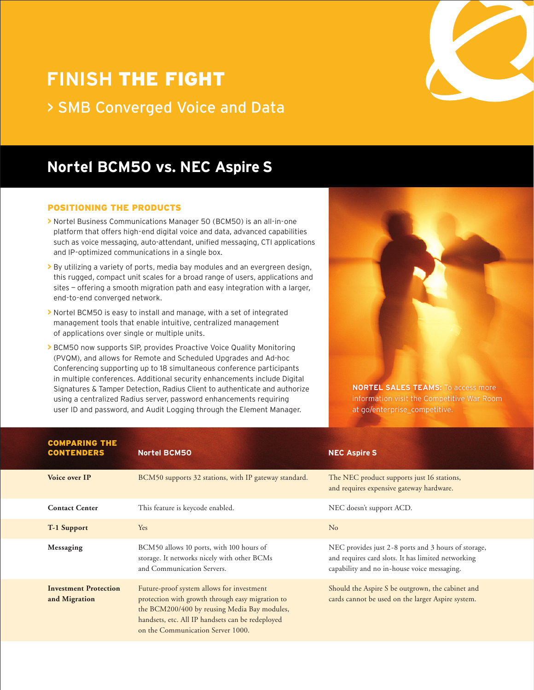# **finish** the fight

> SMB Converged Voice and Data

## **Nortel BCM50 vs. NEC Aspire S**

#### POSITIONING THE PRODUCTS

- **>** Nortel Business Communications Manager 50 (BCM50) is an all-in-one platform that offers high-end digital voice and data, advanced capabilities such as voice messaging, auto-attendant, unified messaging, CTI applications and IP-optimized communications in a single box.
- **>** By utilizing a variety of ports, media bay modules and an evergreen design, this rugged, compact unit scales for a broad range of users, applications and sites — offering a smooth migration path and easy integration with a larger, end-to-end converged network.
- **>** Nortel BCM50 is easy to install and manage, with a set of integrated management tools that enable intuitive, centralized management of applications over single or multiple units.
- **>** BCM50 now supports SIP, provides Proactive Voice Quality Monitoring (PVQM), and allows for Remote and Scheduled Upgrades and Ad-hoc Conferencing supporting up to 18 simultaneous conference participants in multiple conferences. Additional security enhancements include Digital Signatures & Tamper Detection, Radius Client to authenticate and authorize using a centralized Radius server, password enhancements requiring user ID and password, and Audit Logging through the Element Manager.



information visit the Competitive War Room at go/enterprise\_competitive.

| <b>COMPARING THE</b><br><b>CONTENDERS</b>     | <b>Nortel BCM50</b>                                                                                                                                                                                                                    | <b>NEC Aspire S</b>                                                                                                                                      |
|-----------------------------------------------|----------------------------------------------------------------------------------------------------------------------------------------------------------------------------------------------------------------------------------------|----------------------------------------------------------------------------------------------------------------------------------------------------------|
| Voice over IP                                 | BCM50 supports 32 stations, with IP gateway standard.                                                                                                                                                                                  | The NEC product supports just 16 stations,<br>and requires expensive gateway hardware.                                                                   |
| <b>Contact Center</b>                         | This feature is keycode enabled.                                                                                                                                                                                                       | NEC doesn't support ACD.                                                                                                                                 |
| T-1 Support                                   | Yes                                                                                                                                                                                                                                    | No                                                                                                                                                       |
| Messaging                                     | BCM50 allows 10 ports, with 100 hours of<br>storage. It networks nicely with other BCMs<br>and Communication Servers.                                                                                                                  | NEC provides just 2-8 ports and 3 hours of storage,<br>and requires card slots. It has limited networking<br>capability and no in-house voice messaging. |
| <b>Investment Protection</b><br>and Migration | Future-proof system allows for investment<br>protection with growth through easy migration to<br>the BCM200/400 by reusing Media Bay modules,<br>handsets, etc. All IP handsets can be redeployed<br>on the Communication Server 1000. | Should the Aspire S be outgrown, the cabinet and<br>cards cannot be used on the larger Aspire system.                                                    |